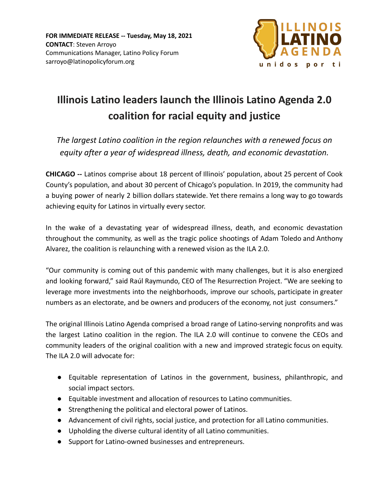

## **Illinois Latino leaders launch the Illinois Latino Agenda 2.0 coalition for racial equity and justice**

*The largest Latino coalition in the region relaunches with a renewed focus on equity after a year of widespread illness, death, and economic devastation.*

**CHICAGO --** Latinos comprise about 18 percent of Illinois' population, about 25 percent of Cook County's population, and about 30 percent of Chicago's population. In 2019, the community had a buying power of nearly 2 billion dollars statewide. Yet there remains a long way to go towards achieving equity for Latinos in virtually every sector.

In the wake of a devastating year of widespread illness, death, and economic devastation throughout the community, as well as the tragic police shootings of Adam Toledo and Anthony Alvarez, the coalition is relaunching with a renewed vision as the ILA 2.0.

"Our community is coming out of this pandemic with many challenges, but it is also energized and looking forward," said Raúl Raymundo, CEO of The Resurrection Project. "We are seeking to leverage more investments into the neighborhoods, improve our schools, participate in greater numbers as an electorate, and be owners and producers of the economy, not just consumers."

The original Illinois Latino Agenda comprised a broad range of Latino-serving nonprofits and was the largest Latino coalition in the region. The ILA 2.0 will continue to convene the CEOs and community leaders of the original coalition with a new and improved strategic focus on equity. The ILA 2.0 will advocate for:

- Equitable representation of Latinos in the government, business, philanthropic, and social impact sectors.
- Equitable investment and allocation of resources to Latino communities.
- Strengthening the political and electoral power of Latinos.
- Advancement of civil rights, social justice, and protection for all Latino communities.
- Upholding the diverse cultural identity of all Latino communities.
- Support for Latino-owned businesses and entrepreneurs.